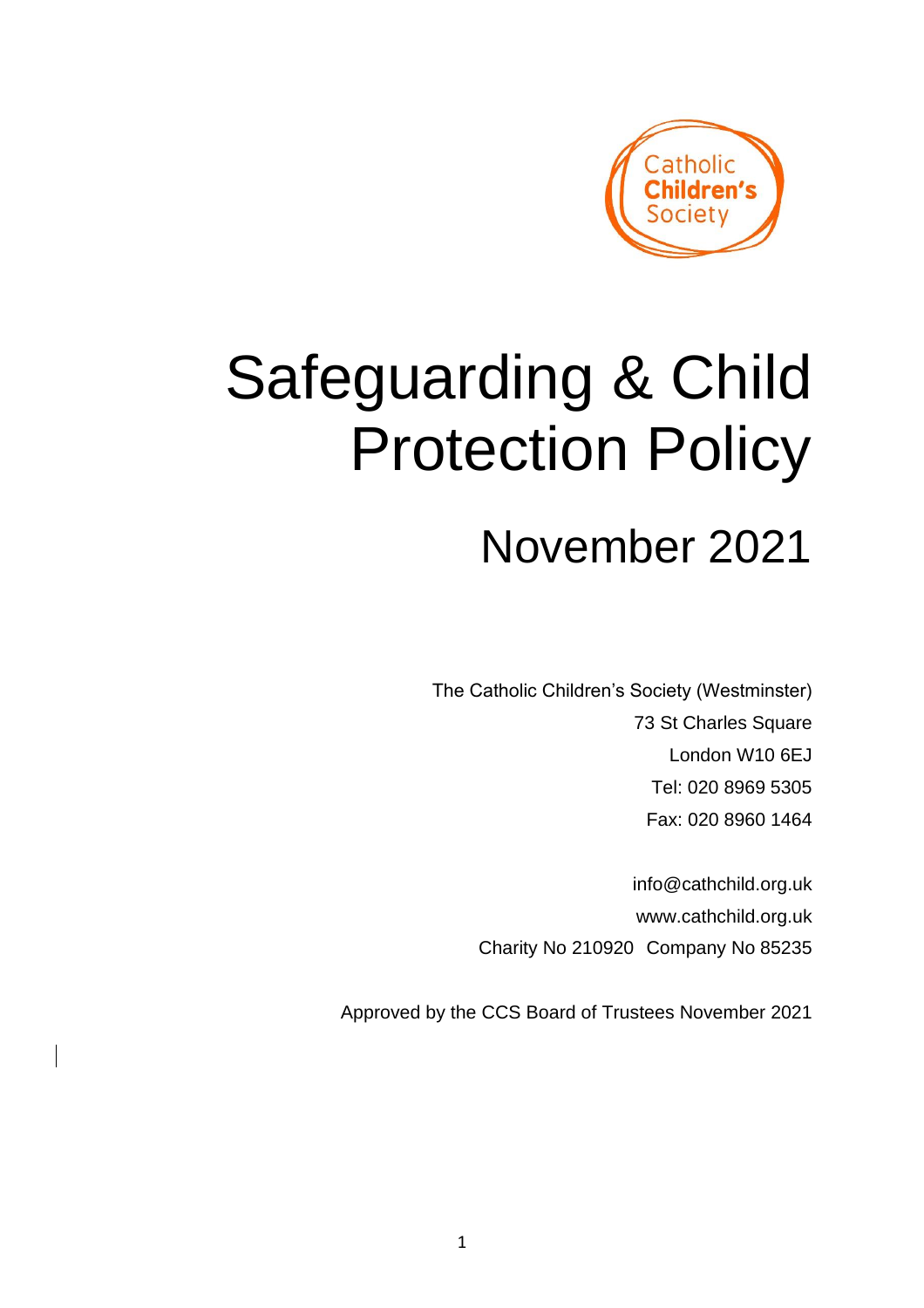

# Safeguarding & Child Protection Policy

# November 2021

The Catholic Children's Society (Westminster) 73 St Charles Square London W10 6EJ Tel: 020 8969 5305 Fax: 020 8960 1464

> info@cathchild.org.uk www.cathchild.org.uk Charity No 210920 Company No 85235

Approved by the CCS Board of Trustees November 2021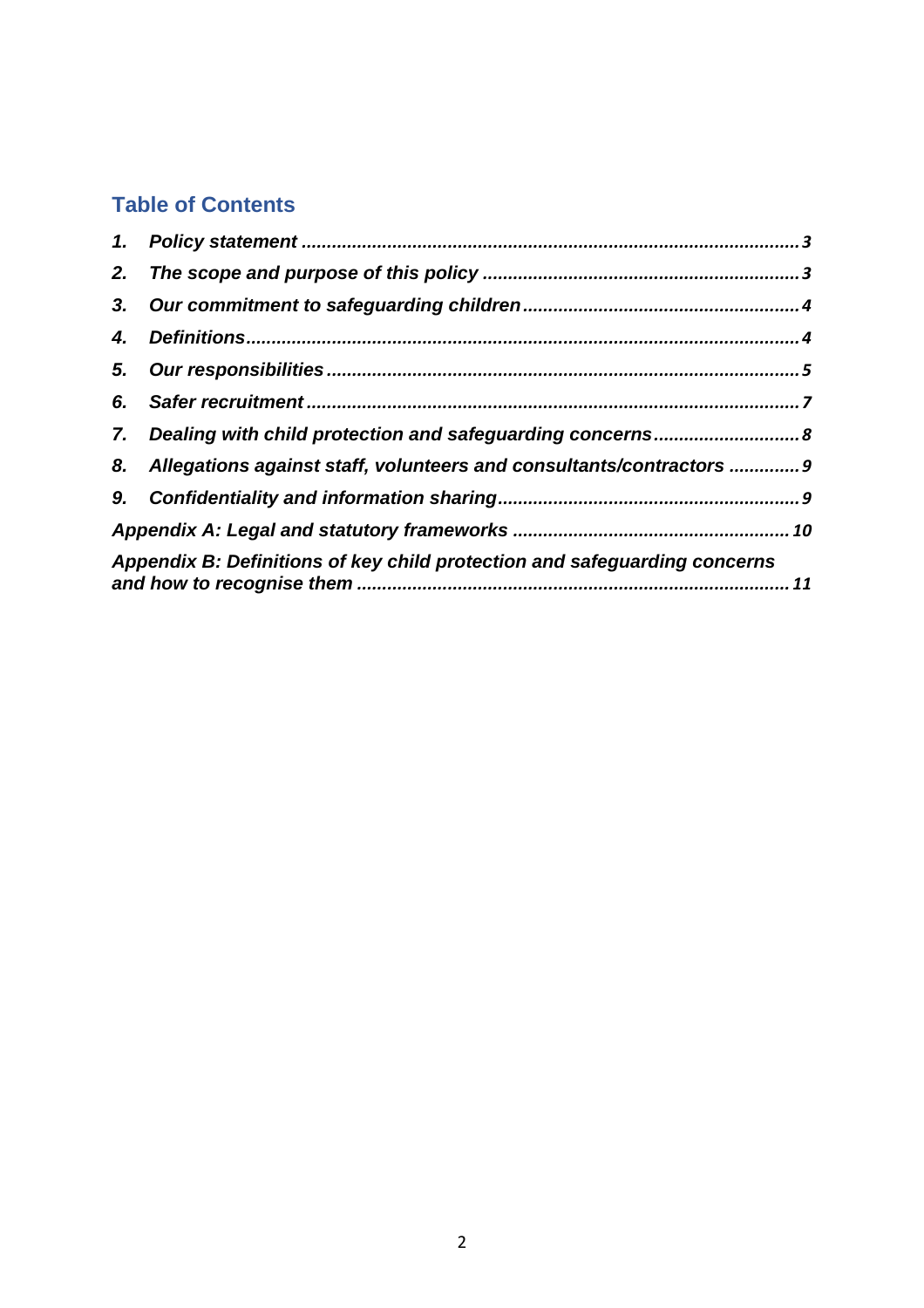# **Table of Contents**

| 2. |                                                                           |  |
|----|---------------------------------------------------------------------------|--|
|    |                                                                           |  |
| 4. |                                                                           |  |
|    |                                                                           |  |
|    |                                                                           |  |
|    |                                                                           |  |
|    | 8. Allegations against staff, volunteers and consultants/contractors  9   |  |
|    |                                                                           |  |
|    |                                                                           |  |
|    | Appendix B: Definitions of key child protection and safeguarding concerns |  |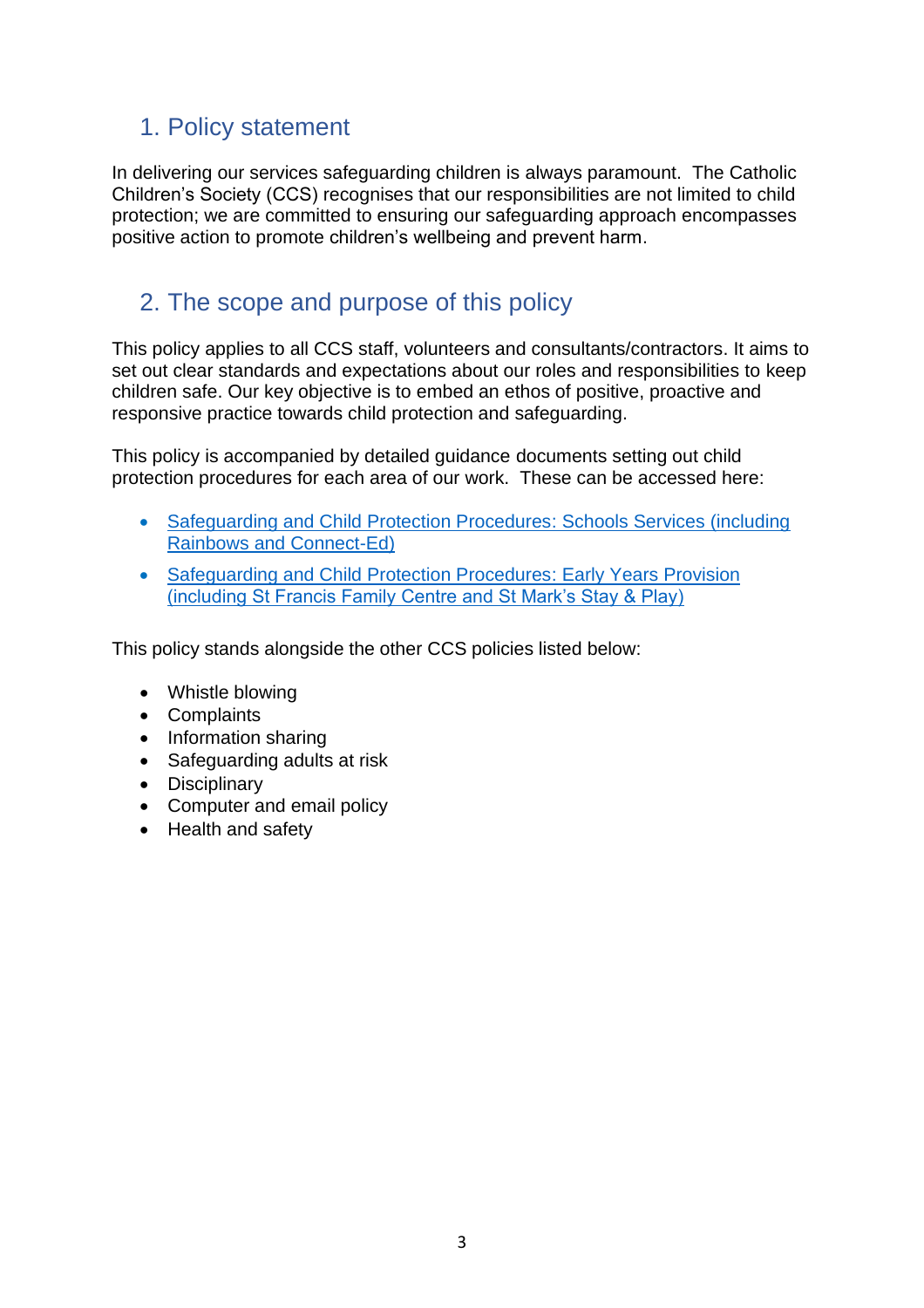# <span id="page-2-0"></span>1. Policy statement

In delivering our services safeguarding children is always paramount. The Catholic Children's Society (CCS) recognises that our responsibilities are not limited to child protection; we are committed to ensuring our safeguarding approach encompasses positive action to promote children's wellbeing and prevent harm.

# <span id="page-2-1"></span>2. The scope and purpose of this policy

This policy applies to all CCS staff, volunteers and consultants/contractors. It aims to set out clear standards and expectations about our roles and responsibilities to keep children safe. Our key objective is to embed an ethos of positive, proactive and responsive practice towards child protection and safeguarding.

This policy is accompanied by detailed guidance documents setting out child protection procedures for each area of our work. These can be accessed here:

- [Safeguarding and Child Protection Procedures:](https://www.cathchild.org.uk/wp-content/uploads/2018/10/Safeguarding-and-Child-Protection-Procedures-Schools-Services.pdf) Schools Services (including [Rainbows and Connect-Ed\)](https://www.cathchild.org.uk/wp-content/uploads/2018/10/Safeguarding-and-Child-Protection-Procedures-Schools-Services.pdf)
- [Safeguarding and Child Protection Procedures:](https://www.cathchild.org.uk/wp-content/uploads/2018/10/Safeguarding-and-Child-Protection-Procedures-Early-Years-Foundation-Stage.pdf) Early Years Provision [\(including St Francis Family Centre and St Mark's Stay & Play\)](https://www.cathchild.org.uk/wp-content/uploads/2018/10/Safeguarding-and-Child-Protection-Procedures-Early-Years-Foundation-Stage.pdf)

This policy stands alongside the other CCS policies listed below:

- Whistle blowing
- Complaints
- Information sharing
- Safeguarding adults at risk
- Disciplinary
- Computer and email policy
- Health and safety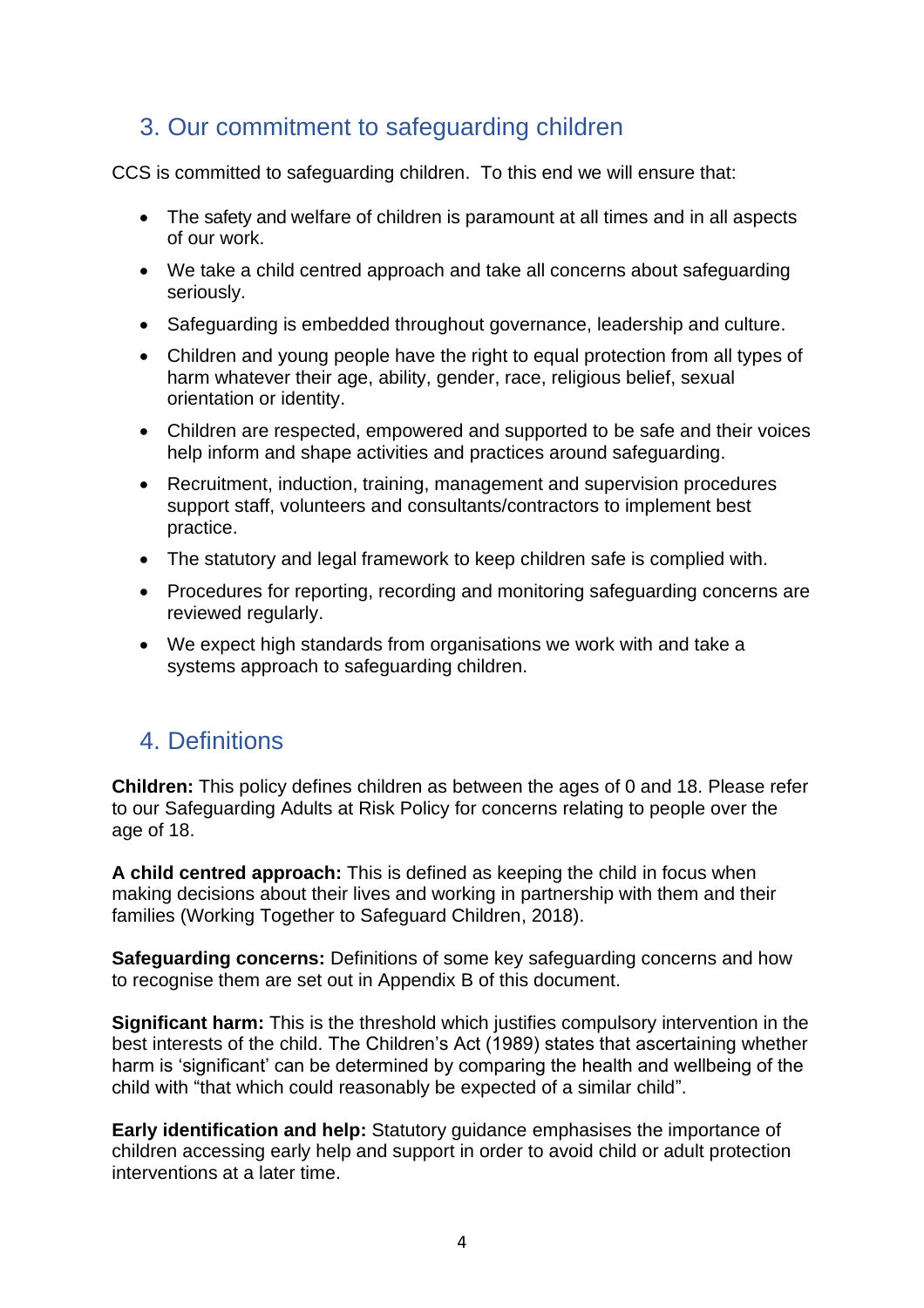# <span id="page-3-0"></span>3. Our commitment to safeguarding children

CCS is committed to safeguarding children. To this end we will ensure that:

- The safety and welfare of children is paramount at all times and in all aspects of our work.
- We take a child centred approach and take all concerns about safeguarding seriously.
- Safeguarding is embedded throughout governance, leadership and culture.
- Children and young people have the right to equal protection from all types of harm whatever their age, ability, gender, race, religious belief, sexual orientation or identity.
- Children are respected, empowered and supported to be safe and their voices help inform and shape activities and practices around safeguarding.
- Recruitment, induction, training, management and supervision procedures support staff, volunteers and consultants/contractors to implement best practice.
- The statutory and legal framework to keep children safe is complied with.
- Procedures for reporting, recording and monitoring safeguarding concerns are reviewed regularly.
- We expect high standards from organisations we work with and take a systems approach to safeguarding children.

# <span id="page-3-1"></span>4. Definitions

**Children:** This policy defines children as between the ages of 0 and 18. Please refer to our Safeguarding Adults at Risk Policy for concerns relating to people over the age of 18.

**A child centred approach:** This is defined as keeping the child in focus when making decisions about their lives and working in partnership with them and their families (Working Together to Safeguard Children, 2018).

**Safeguarding concerns:** Definitions of some key safeguarding concerns and how to recognise them are set out in Appendix B of this document.

**Significant harm:** This is the threshold which justifies compulsory intervention in the best interests of the child. The Children's Act (1989) states that ascertaining whether harm is 'significant' can be determined by comparing the health and wellbeing of the child with "that which could reasonably be expected of a similar child".

**Early identification and help:** Statutory guidance emphasises the importance of children accessing early help and support in order to avoid child or adult protection interventions at a later time.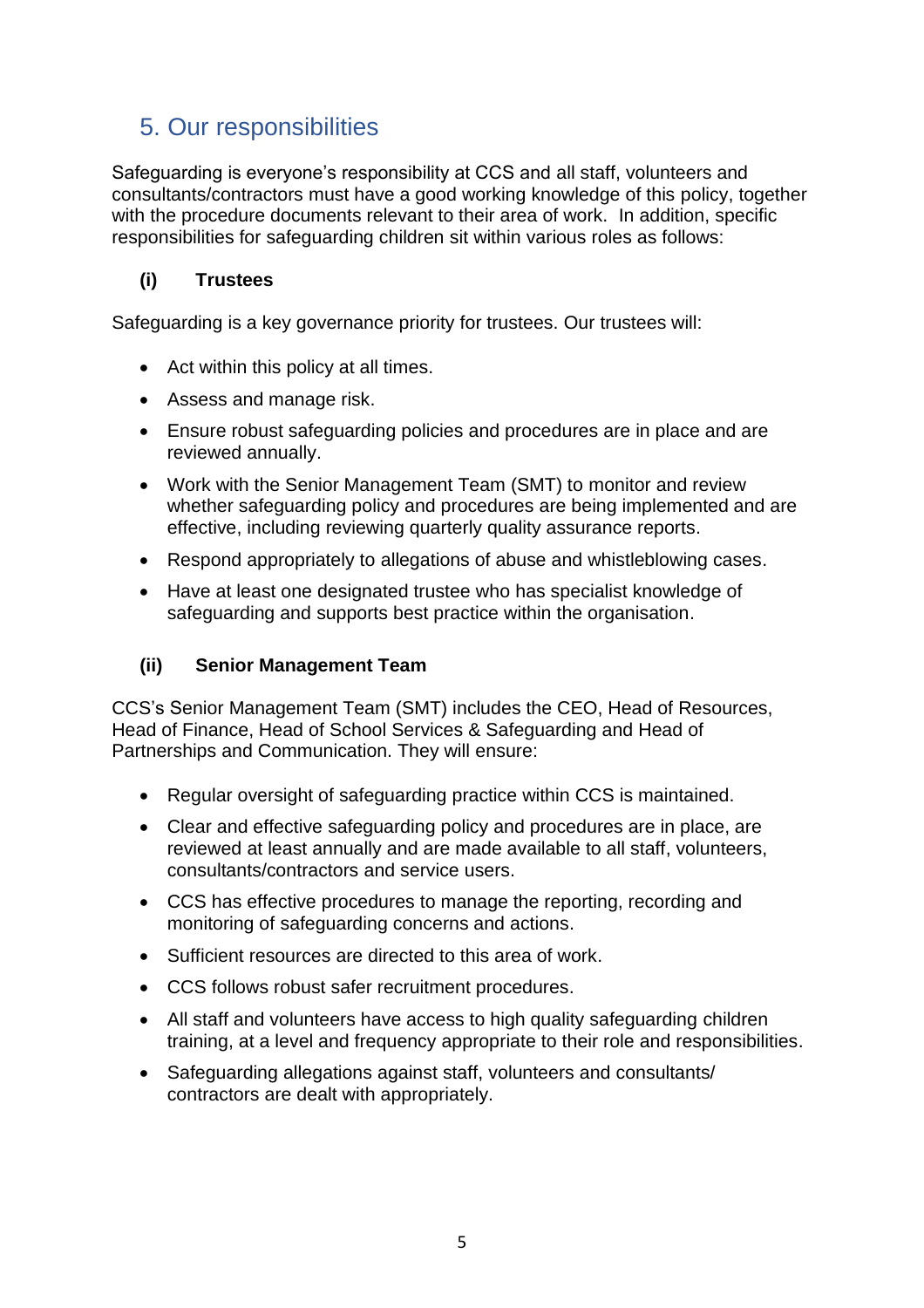# <span id="page-4-0"></span>5. Our responsibilities

Safeguarding is everyone's responsibility at CCS and all staff, volunteers and consultants/contractors must have a good working knowledge of this policy, together with the procedure documents relevant to their area of work. In addition, specific responsibilities for safeguarding children sit within various roles as follows:

#### **(i) Trustees**

Safeguarding is a key governance priority for trustees. Our trustees will:

- Act within this policy at all times.
- Assess and manage risk.
- Ensure robust safeguarding policies and procedures are in place and are reviewed annually.
- Work with the Senior Management Team (SMT) to monitor and review whether safeguarding policy and procedures are being implemented and are effective, including reviewing quarterly quality assurance reports.
- Respond appropriately to allegations of abuse and whistleblowing cases.
- Have at least one designated trustee who has specialist knowledge of safeguarding and supports best practice within the organisation.

#### **(ii) Senior Management Team**

CCS's Senior Management Team (SMT) includes the CEO, Head of Resources, Head of Finance, Head of School Services & Safeguarding and Head of Partnerships and Communication. They will ensure:

- Regular oversight of safeguarding practice within CCS is maintained.
- Clear and effective safeguarding policy and procedures are in place, are reviewed at least annually and are made available to all staff, volunteers, consultants/contractors and service users.
- CCS has effective procedures to manage the reporting, recording and monitoring of safeguarding concerns and actions.
- Sufficient resources are directed to this area of work.
- CCS follows robust safer recruitment procedures.
- All staff and volunteers have access to high quality safeguarding children training, at a level and frequency appropriate to their role and responsibilities.
- Safeguarding allegations against staff, volunteers and consultants/ contractors are dealt with appropriately.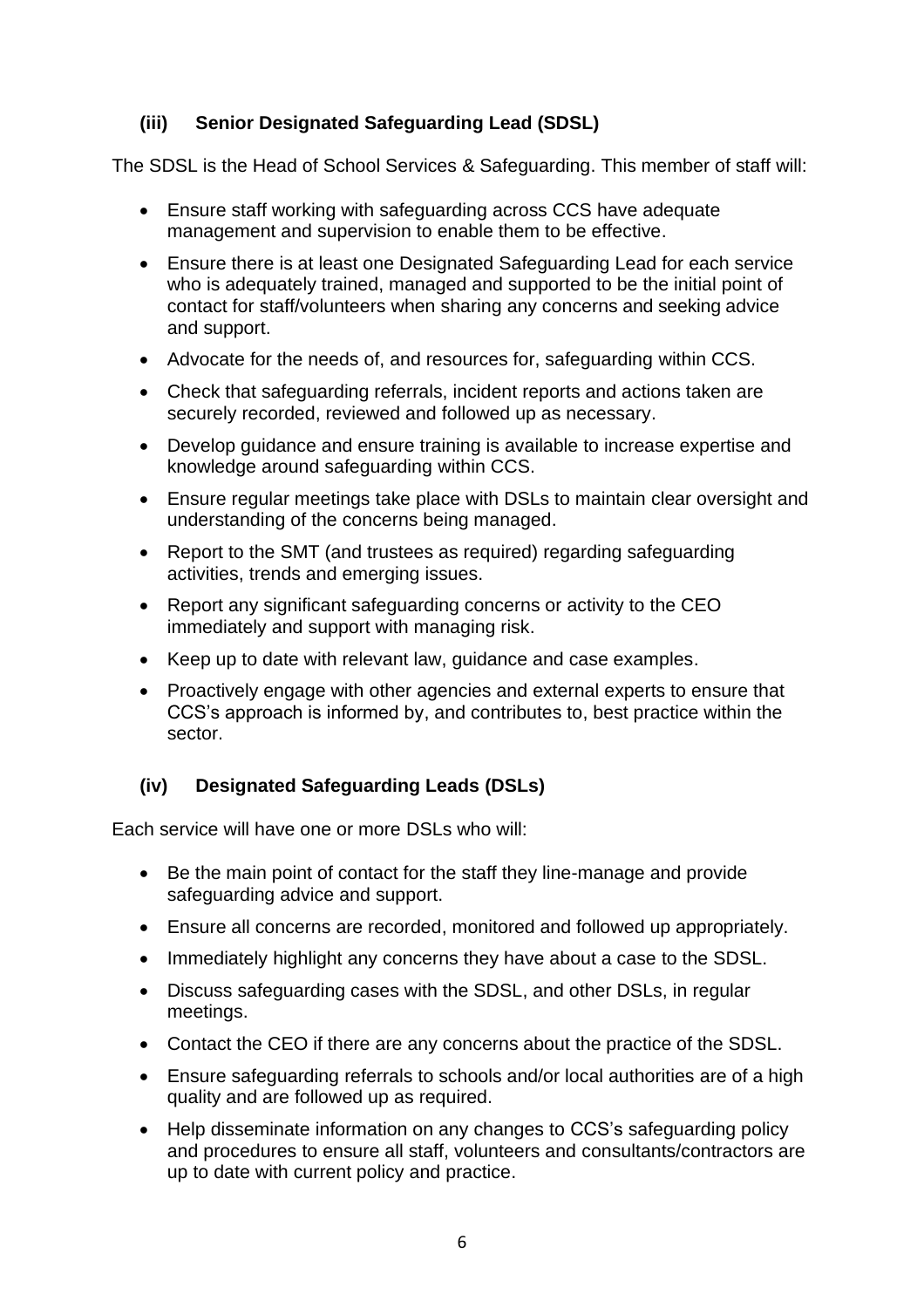### **(iii) Senior Designated Safeguarding Lead (SDSL)**

The SDSL is the Head of School Services & Safeguarding. This member of staff will:

- Ensure staff working with safeguarding across CCS have adequate management and supervision to enable them to be effective.
- Ensure there is at least one Designated Safeguarding Lead for each service who is adequately trained, managed and supported to be the initial point of contact for staff/volunteers when sharing any concerns and seeking advice and support.
- Advocate for the needs of, and resources for, safeguarding within CCS.
- Check that safeguarding referrals, incident reports and actions taken are securely recorded, reviewed and followed up as necessary.
- Develop guidance and ensure training is available to increase expertise and knowledge around safeguarding within CCS.
- Ensure regular meetings take place with DSLs to maintain clear oversight and understanding of the concerns being managed.
- Report to the SMT (and trustees as required) regarding safeguarding activities, trends and emerging issues.
- Report any significant safeguarding concerns or activity to the CEO immediately and support with managing risk.
- Keep up to date with relevant law, guidance and case examples.
- Proactively engage with other agencies and external experts to ensure that CCS's approach is informed by, and contributes to, best practice within the sector.

#### **(iv) Designated Safeguarding Leads (DSLs)**

Each service will have one or more DSLs who will:

- Be the main point of contact for the staff they line-manage and provide safeguarding advice and support.
- Ensure all concerns are recorded, monitored and followed up appropriately.
- Immediately highlight any concerns they have about a case to the SDSL.
- Discuss safeguarding cases with the SDSL, and other DSLs, in regular meetings.
- Contact the CEO if there are any concerns about the practice of the SDSL.
- Ensure safeguarding referrals to schools and/or local authorities are of a high quality and are followed up as required.
- Help disseminate information on any changes to CCS's safeguarding policy and procedures to ensure all staff, volunteers and consultants/contractors are up to date with current policy and practice.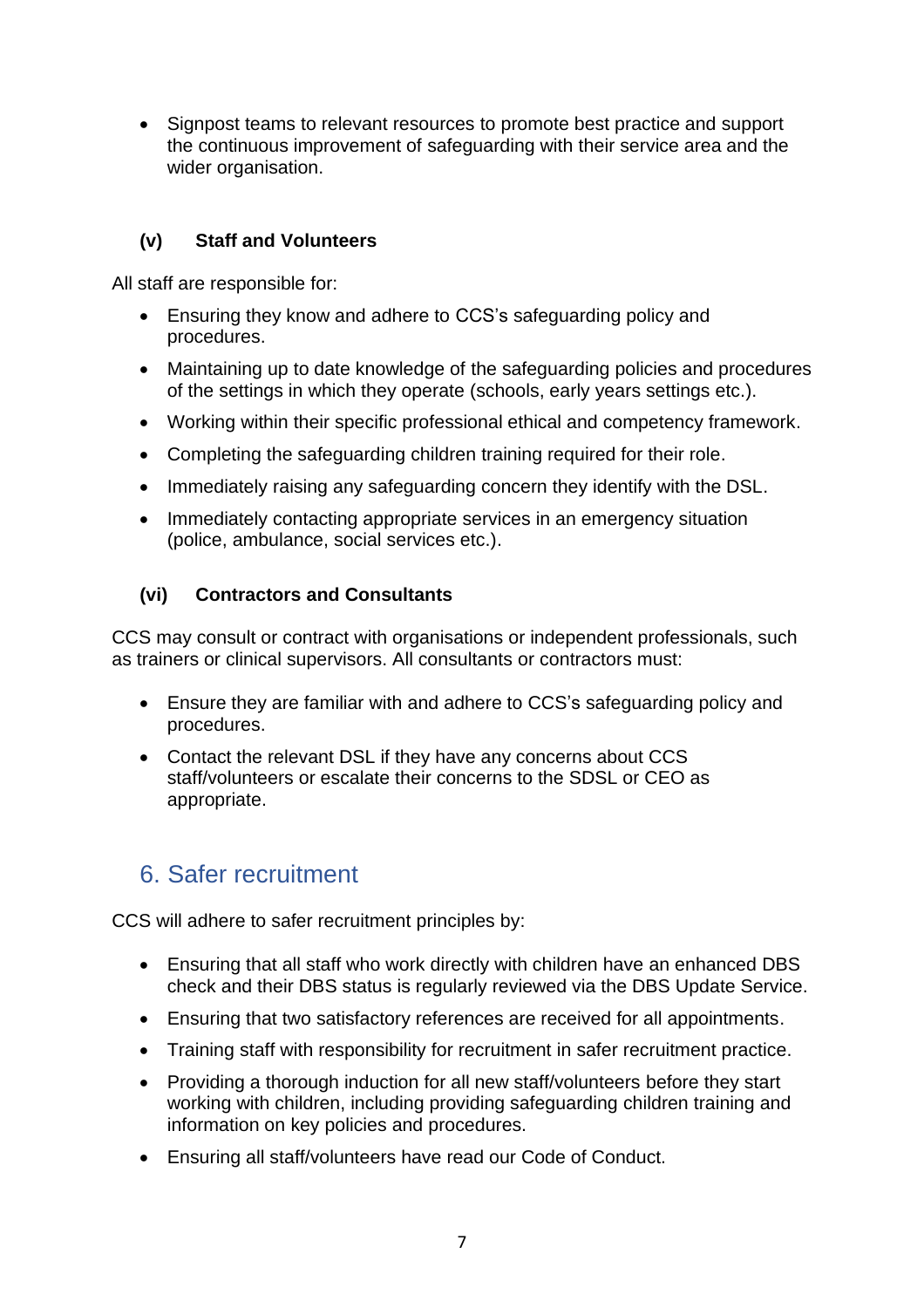• Signpost teams to relevant resources to promote best practice and support the continuous improvement of safeguarding with their service area and the wider organisation.

#### **(v) Staff and Volunteers**

All staff are responsible for:

- Ensuring they know and adhere to CCS's safeguarding policy and procedures.
- Maintaining up to date knowledge of the safeguarding policies and procedures of the settings in which they operate (schools, early years settings etc.).
- Working within their specific professional ethical and competency framework.
- Completing the safeguarding children training required for their role.
- Immediately raising any safeguarding concern they identify with the DSL.
- Immediately contacting appropriate services in an emergency situation (police, ambulance, social services etc.).

## **(vi) Contractors and Consultants**

CCS may consult or contract with organisations or independent professionals, such as trainers or clinical supervisors. All consultants or contractors must:

- Ensure they are familiar with and adhere to CCS's safeguarding policy and procedures.
- Contact the relevant DSL if they have any concerns about CCS staff/volunteers or escalate their concerns to the SDSL or CEO as appropriate.

# <span id="page-6-0"></span>6. Safer recruitment

CCS will adhere to safer recruitment principles by:

- Ensuring that all staff who work directly with children have an enhanced DBS check and their DBS status is regularly reviewed via the DBS Update Service.
- Ensuring that two satisfactory references are received for all appointments.
- Training staff with responsibility for recruitment in safer recruitment practice.
- Providing a thorough induction for all new staff/volunteers before they start working with children, including providing safeguarding children training and information on key policies and procedures.
- Ensuring all staff/volunteers have read our Code of Conduct.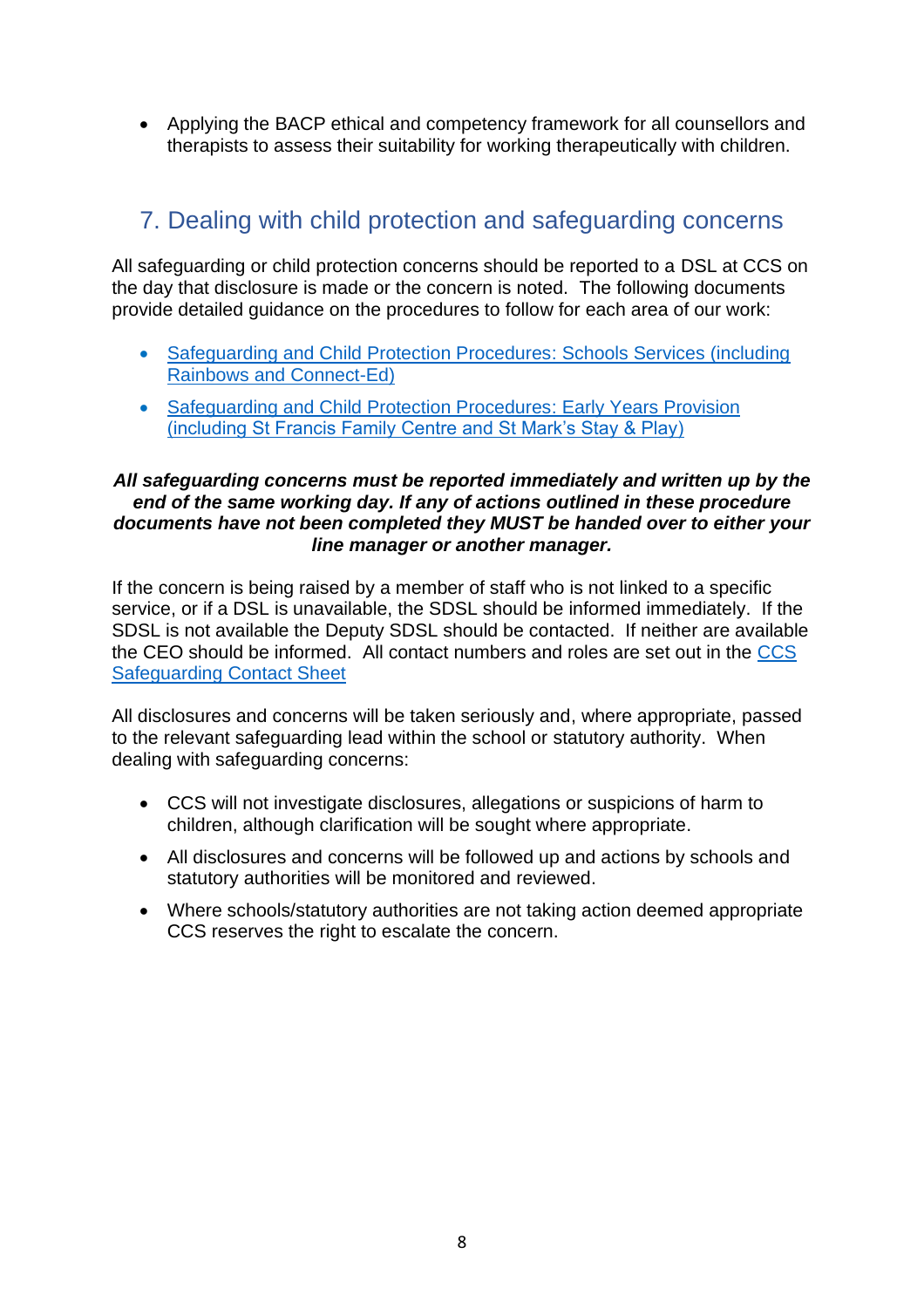• Applying the BACP ethical and competency framework for all counsellors and therapists to assess their suitability for working therapeutically with children.

# <span id="page-7-0"></span>7. Dealing with child protection and safeguarding concerns

All safeguarding or child protection concerns should be reported to a DSL at CCS on the day that disclosure is made or the concern is noted. The following documents provide detailed guidance on the procedures to follow for each area of our work:

- [Safeguarding and Child Protection Procedures:](https://www.cathchild.org.uk/wp-content/uploads/2018/10/Safeguarding-and-Child-Protection-Procedures-Schools-Services.pdf) Schools Services (including [Rainbows and Connect-Ed\)](https://www.cathchild.org.uk/wp-content/uploads/2018/10/Safeguarding-and-Child-Protection-Procedures-Schools-Services.pdf)
- [Safeguarding and Child Protection Procedures:](https://www.cathchild.org.uk/wp-content/uploads/2018/10/Safeguarding-and-Child-Protection-Procedures-Early-Years-Foundation-Stage.pdf) Early Years Provision [\(including St Francis Family Centre and St Mark's Stay & Play\)](https://www.cathchild.org.uk/wp-content/uploads/2018/10/Safeguarding-and-Child-Protection-Procedures-Early-Years-Foundation-Stage.pdf)

#### *All safeguarding concerns must be reported immediately and written up by the end of the same working day. If any of actions outlined in these procedure documents have not been completed they MUST be handed over to either your line manager or another manager.*

If the concern is being raised by a member of staff who is not linked to a specific service, or if a DSL is unavailable, the SDSL should be informed immediately. If the SDSL is not available the Deputy SDSL should be contacted. If neither are available the CEO should be informed. All contact numbers and roles are set out in the [CCS](https://www.cathchild.org.uk/wp-content/uploads/2018/10/CCS-Safeguarding-Contact-Sheet.pdf)  [Safeguarding Contact Sheet](https://www.cathchild.org.uk/wp-content/uploads/2018/10/CCS-Safeguarding-Contact-Sheet.pdf)

All disclosures and concerns will be taken seriously and, where appropriate, passed to the relevant safeguarding lead within the school or statutory authority. When dealing with safeguarding concerns:

- CCS will not investigate disclosures, allegations or suspicions of harm to children, although clarification will be sought where appropriate.
- All disclosures and concerns will be followed up and actions by schools and statutory authorities will be monitored and reviewed.
- Where schools/statutory authorities are not taking action deemed appropriate CCS reserves the right to escalate the concern.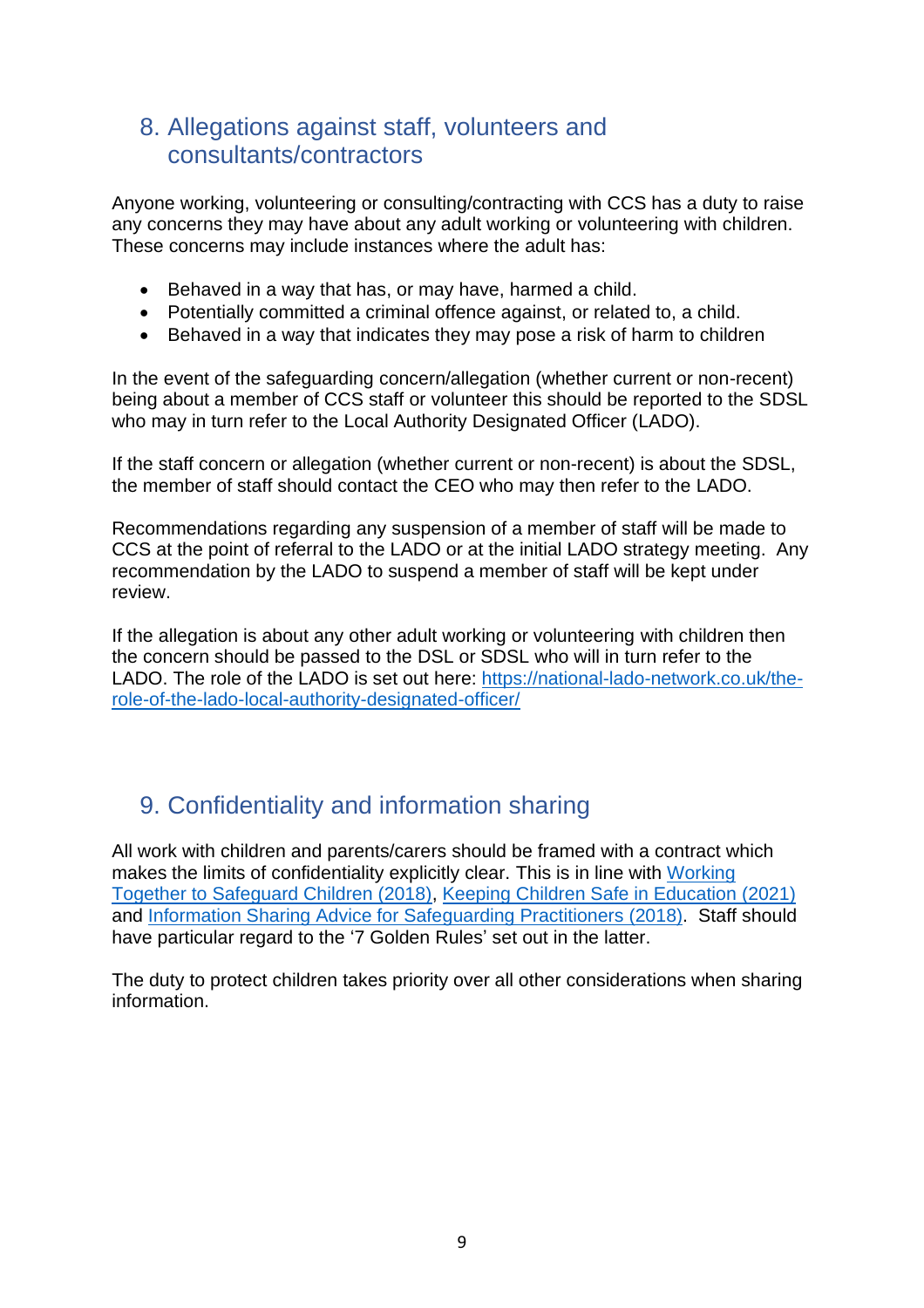# <span id="page-8-0"></span>8. Allegations against staff, volunteers and consultants/contractors

Anyone working, volunteering or consulting/contracting with CCS has a duty to raise any concerns they may have about any adult working or volunteering with children. These concerns may include instances where the adult has:

- Behaved in a way that has, or may have, harmed a child.
- Potentially committed a criminal offence against, or related to, a child.
- Behaved in a way that indicates they may pose a risk of harm to children

In the event of the safeguarding concern/allegation (whether current or non-recent) being about a member of CCS staff or volunteer this should be reported to the SDSL who may in turn refer to the Local Authority Designated Officer (LADO).

If the staff concern or allegation (whether current or non-recent) is about the SDSL, the member of staff should contact the CEO who may then refer to the LADO.

Recommendations regarding any suspension of a member of staff will be made to CCS at the point of referral to the LADO or at the initial LADO strategy meeting. Any recommendation by the LADO to suspend a member of staff will be kept under review.

If the allegation is about any other adult working or volunteering with children then the concern should be passed to the DSL or SDSL who will in turn refer to the LADO. The role of the LADO is set out here: [https://national-lado-network.co.uk/the](https://national-lado-network.co.uk/the-role-of-the-lado-local-authority-designated-officer/)[role-of-the-lado-local-authority-designated-officer/](https://national-lado-network.co.uk/the-role-of-the-lado-local-authority-designated-officer/)

# <span id="page-8-1"></span>9. Confidentiality and information sharing

All work with children and parents/carers should be framed with a contract which makes the limits of confidentiality explicitly clear. This is in line with [Working](https://assets.publishing.service.gov.uk/government/uploads/system/uploads/attachment_data/file/942454/Working_together_to_safeguard_children_inter_agency_guidance.pdf)  [Together to Safeguard Children \(2018\),](https://assets.publishing.service.gov.uk/government/uploads/system/uploads/attachment_data/file/942454/Working_together_to_safeguard_children_inter_agency_guidance.pdf) [Keeping Children Safe in Education \(2021\)](https://assets.publishing.service.gov.uk/government/uploads/system/uploads/attachment_data/file/1021914/KCSIE_2021_September_guidance.pdf) and [Information Sharing Advice for Safeguarding Practitioners](https://assets.publishing.service.gov.uk/government/uploads/system/uploads/attachment_data/file/721581/Information_sharing_advice_practitioners_safeguarding_services.pdf) (2018). Staff should have particular regard to the '7 Golden Rules' set out in the latter.

The duty to protect children takes priority over all other considerations when sharing information.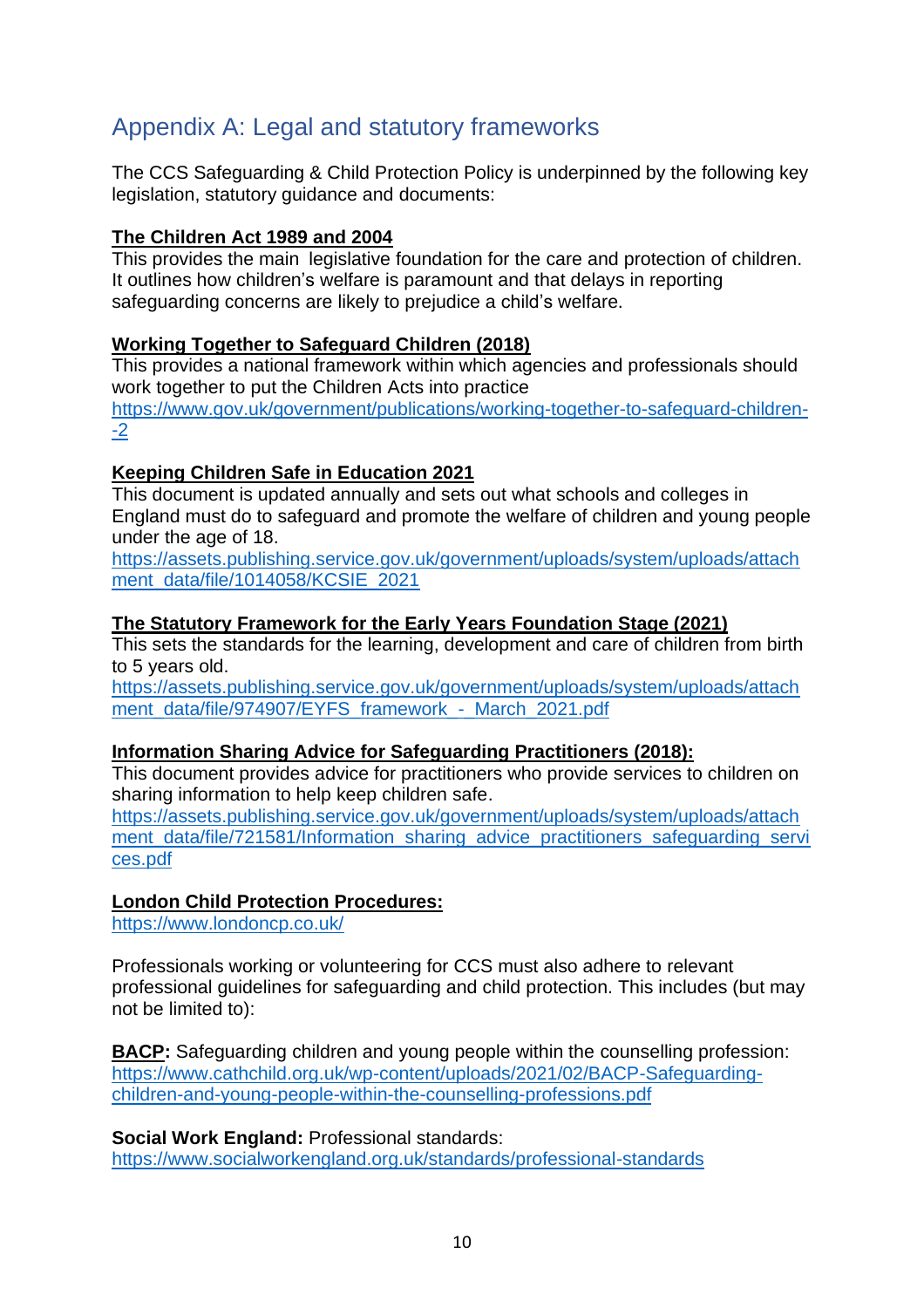# <span id="page-9-0"></span>Appendix A: Legal and statutory frameworks

The CCS Safeguarding & Child Protection Policy is underpinned by the following key legislation, statutory guidance and documents:

#### **The Children Act 1989 and 2004**

This provides the main legislative foundation for the care and protection of children. It outlines how children's welfare is paramount and that delays in reporting safeguarding concerns are likely to prejudice a child's welfare.

#### **Working Together to Safeguard Children (2018)**

This provides a national framework within which agencies and professionals should work together to put the Children Acts into practice [https://www.gov.uk/government/publications/working-together-to-safeguard-children-](https://www.gov.uk/government/publications/working-together-to-safeguard-children--2) [-2](https://www.gov.uk/government/publications/working-together-to-safeguard-children--2)

#### **Keeping Children Safe in Education 2021**

This document is updated annually and sets out what schools and colleges in England must do to safeguard and promote the welfare of children and young people under the age of 18.

[https://assets.publishing.service.gov.uk/government/uploads/system/uploads/attach](https://assets.publishing.service.gov.uk/government/uploads/system/uploads/attachment_data/file/1014058/KCSIE_2021) [ment\\_data/file/1014058/KCSIE\\_2021](https://assets.publishing.service.gov.uk/government/uploads/system/uploads/attachment_data/file/1014058/KCSIE_2021)

#### **The Statutory Framework for the Early Years Foundation Stage (2021)**

This sets the standards for the learning, development and care of children from birth to 5 years old.

[https://assets.publishing.service.gov.uk/government/uploads/system/uploads/attach](https://assets.publishing.service.gov.uk/government/uploads/system/uploads/attachment_data/file/974907/EYFS_framework_-_March_2021.pdf) ment\_data/file/974907/EYFS\_framework - March\_2021.pdf

#### **Information Sharing Advice for Safeguarding Practitioners (2018):**

This document provides advice for practitioners who provide services to children on sharing information to help keep children safe.

[https://assets.publishing.service.gov.uk/government/uploads/system/uploads/attach](https://assets.publishing.service.gov.uk/government/uploads/system/uploads/attachment_data/file/721581/Information_sharing_advice_practitioners_safeguarding_services.pdf) [ment\\_data/file/721581/Information\\_sharing\\_advice\\_practitioners\\_safeguarding\\_servi](https://assets.publishing.service.gov.uk/government/uploads/system/uploads/attachment_data/file/721581/Information_sharing_advice_practitioners_safeguarding_services.pdf) [ces.pdf](https://assets.publishing.service.gov.uk/government/uploads/system/uploads/attachment_data/file/721581/Information_sharing_advice_practitioners_safeguarding_services.pdf)

#### **London Child Protection Procedures:**

<https://www.londoncp.co.uk/>

Professionals working or volunteering for CCS must also adhere to relevant professional guidelines for safeguarding and child protection. This includes (but may not be limited to):

**BACP:** Safeguarding children and young people within the counselling profession: [https://www.cathchild.org.uk/wp-content/uploads/2021/02/BACP-Safeguarding](https://www.cathchild.org.uk/wp-content/uploads/2021/02/BACP-Safeguarding-children-and-young-people-within-the-counselling-professions.pdf)[children-and-young-people-within-the-counselling-professions.pdf](https://www.cathchild.org.uk/wp-content/uploads/2021/02/BACP-Safeguarding-children-and-young-people-within-the-counselling-professions.pdf)

**Social Work England:** Professional standards:

<https://www.socialworkengland.org.uk/standards/professional-standards>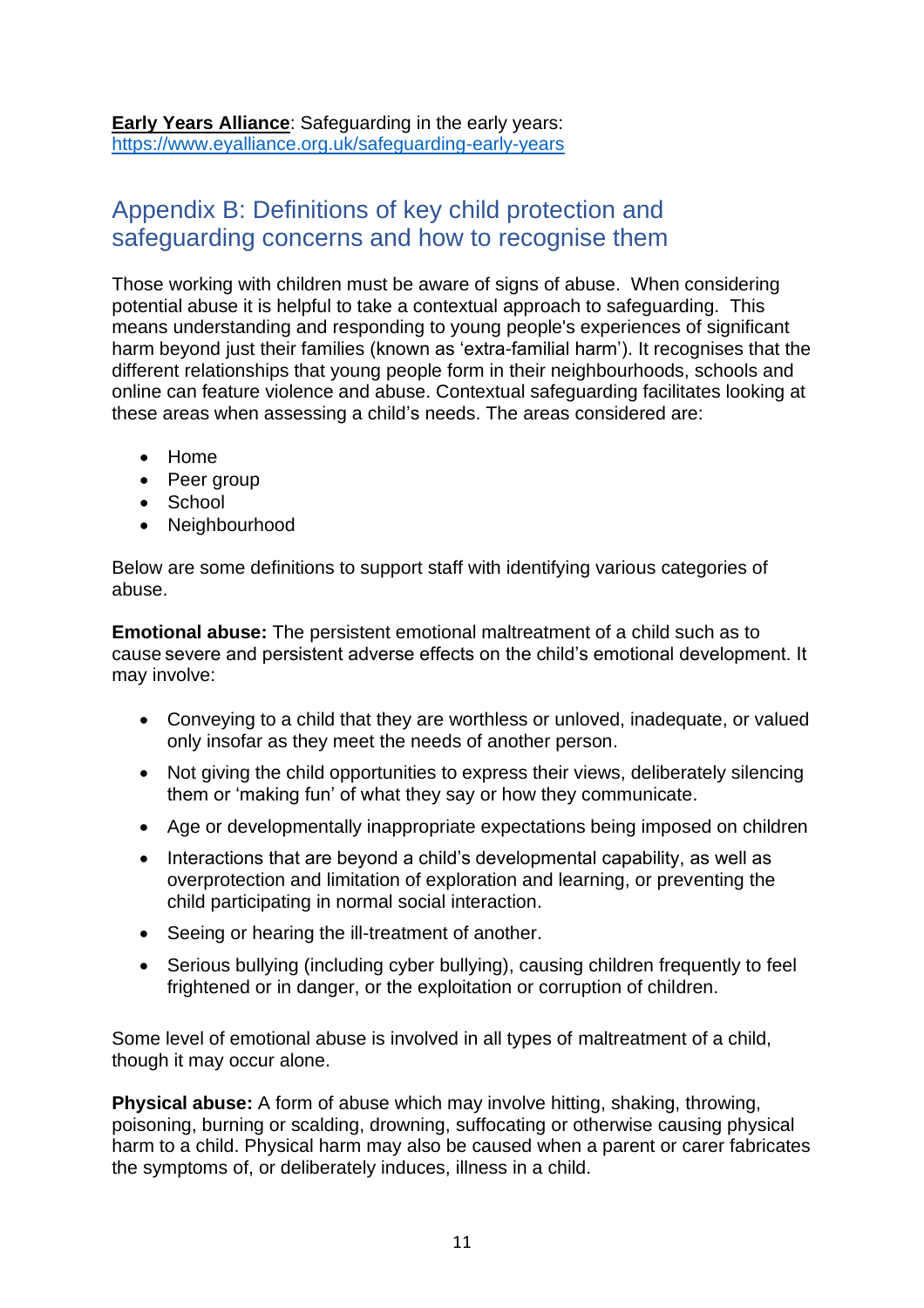**Early Years Alliance**: Safeguarding in the early years: <https://www.eyalliance.org.uk/safeguarding-early-years>

# <span id="page-10-0"></span>Appendix B: Definitions of key child protection and safeguarding concerns and how to recognise them

Those working with children must be aware of signs of abuse. When considering potential abuse it is helpful to take a contextual approach to safeguarding. This means understanding and responding to young people's experiences of significant harm beyond just their families (known as 'extra-familial harm'). It recognises that the different relationships that young people form in their neighbourhoods, schools and online can feature violence and abuse. Contextual safeguarding facilitates looking at these areas when assessing a child's needs. The areas considered are:

- Home
- Peer group
- School
- Neighbourhood

Below are some definitions to support staff with identifying various categories of abuse.

**Emotional abuse:** The persistent emotional maltreatment of a child such as to cause severe and persistent adverse effects on the child's emotional development. It may involve:

- Conveying to a child that they are worthless or unloved, inadequate, or valued only insofar as they meet the needs of another person.
- Not giving the child opportunities to express their views, deliberately silencing them or 'making fun' of what they say or how they communicate.
- Age or developmentally inappropriate expectations being imposed on children
- Interactions that are beyond a child's developmental capability, as well as overprotection and limitation of exploration and learning, or preventing the child participating in normal social interaction.
- Seeing or hearing the ill-treatment of another.
- Serious bullying (including cyber bullying), causing children frequently to feel frightened or in danger, or the exploitation or corruption of children.

Some level of emotional abuse is involved in all types of maltreatment of a child, though it may occur alone.

**Physical abuse:** A form of abuse which may involve hitting, shaking, throwing, poisoning, burning or scalding, drowning, suffocating or otherwise causing physical harm to a child. Physical harm may also be caused when a parent or carer fabricates the symptoms of, or deliberately induces, illness in a child.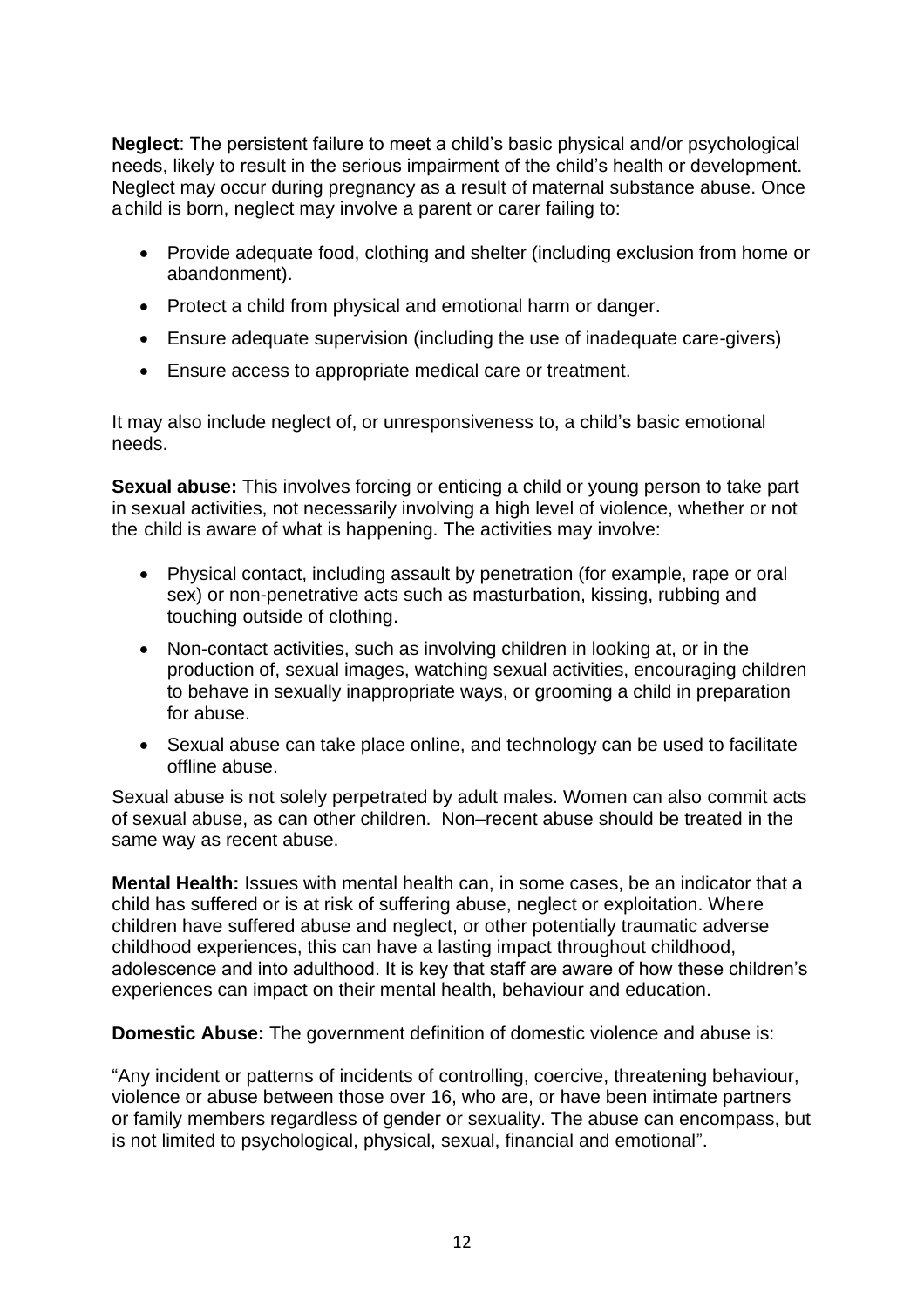**Neglect**: The persistent failure to meet a child's basic physical and/or psychological needs, likely to result in the serious impairment of the child's health or development. Neglect may occur during pregnancy as a result of maternal substance abuse. Once achild is born, neglect may involve a parent or carer failing to:

- Provide adequate food, clothing and shelter (including exclusion from home or abandonment).
- Protect a child from physical and emotional harm or danger.
- Ensure adequate supervision (including the use of inadequate care-givers)
- Ensure access to appropriate medical care or treatment.

It may also include neglect of, or unresponsiveness to, a child's basic emotional needs.

**Sexual abuse:** This involves forcing or enticing a child or young person to take part in sexual activities, not necessarily involving a high level of violence, whether or not the child is aware of what is happening. The activities may involve:

- Physical contact, including assault by penetration (for example, rape or oral sex) or non-penetrative acts such as masturbation, kissing, rubbing and touching outside of clothing.
- Non-contact activities, such as involving children in looking at, or in the production of, sexual images, watching sexual activities, encouraging children to behave in sexually inappropriate ways, or grooming a child in preparation for abuse.
- Sexual abuse can take place online, and technology can be used to facilitate offline abuse.

Sexual abuse is not solely perpetrated by adult males. Women can also commit acts of sexual abuse, as can other children. Non–recent abuse should be treated in the same way as recent abuse.

**Mental Health:** Issues with mental health can, in some cases, be an indicator that a child has suffered or is at risk of suffering abuse, neglect or exploitation. Where children have suffered abuse and neglect, or other potentially traumatic adverse childhood experiences, this can have a lasting impact throughout childhood, adolescence and into adulthood. It is key that staff are aware of how these children's experiences can impact on their mental health, behaviour and education.

**Domestic Abuse:** The government definition of domestic violence and abuse is:

"Any incident or patterns of incidents of controlling, coercive, threatening behaviour, violence or abuse between those over 16, who are, or have been intimate partners or family members regardless of gender or sexuality. The abuse can encompass, but is not limited to psychological, physical, sexual, financial and emotional".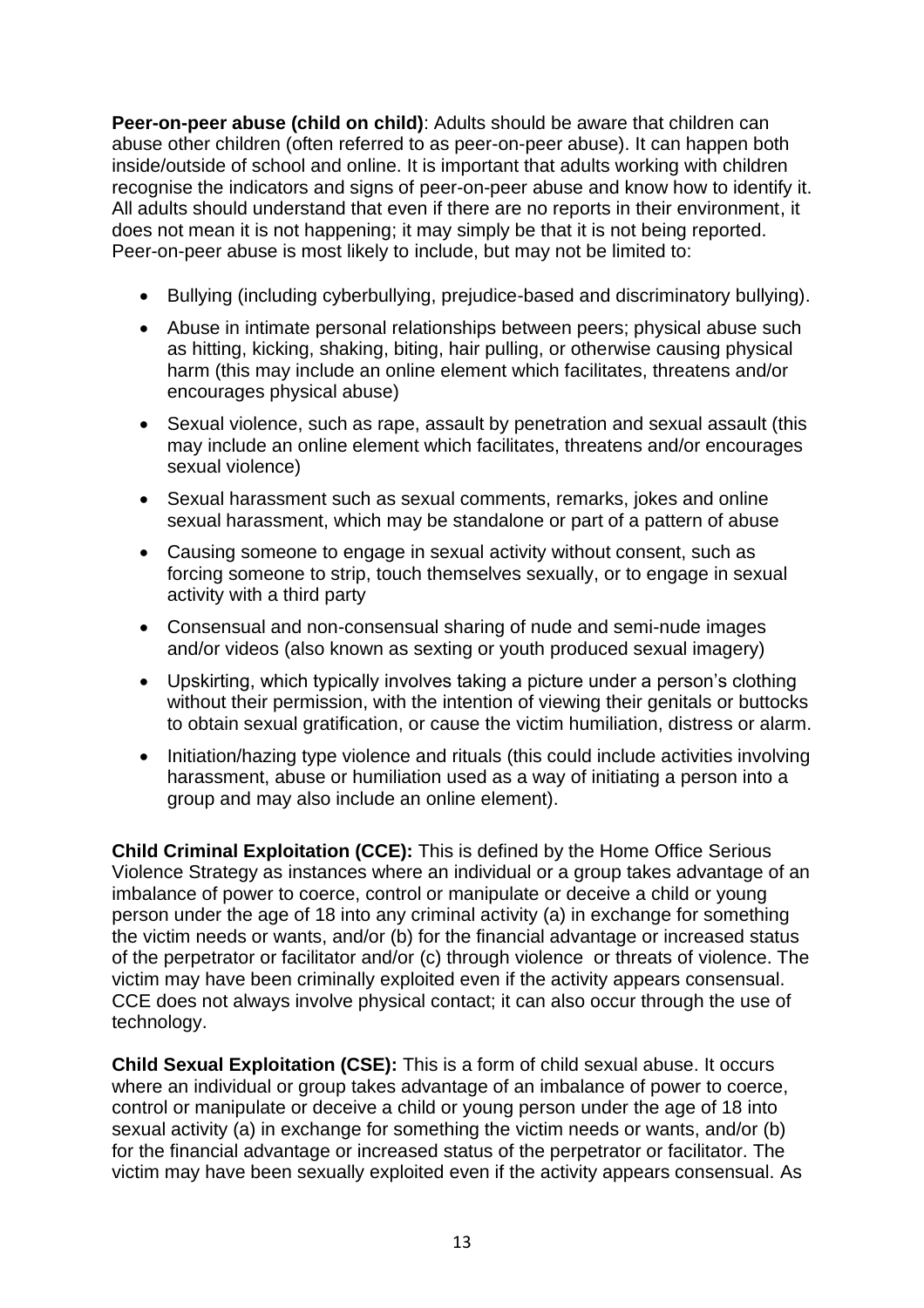**Peer-on-peer abuse (child on child)**: Adults should be aware that children can abuse other children (often referred to as peer-on-peer abuse). It can happen both inside/outside of school and online. It is important that adults working with children recognise the indicators and signs of peer-on-peer abuse and know how to identify it. All adults should understand that even if there are no reports in their environment, it does not mean it is not happening; it may simply be that it is not being reported. Peer-on-peer abuse is most likely to include, but may not be limited to:

- Bullying (including cyberbullying, prejudice-based and discriminatory bullying).
- Abuse in intimate personal relationships between peers; physical abuse such as hitting, kicking, shaking, biting, hair pulling, or otherwise causing physical harm (this may include an online element which facilitates, threatens and/or encourages physical abuse)
- Sexual violence, such as rape, assault by penetration and sexual assault (this may include an online element which facilitates, threatens and/or encourages sexual violence)
- Sexual harassment such as sexual comments, remarks, jokes and online sexual harassment, which may be standalone or part of a pattern of abuse
- Causing someone to engage in sexual activity without consent, such as forcing someone to strip, touch themselves sexually, or to engage in sexual activity with a third party
- Consensual and non-consensual sharing of nude and semi-nude images and/or videos (also known as sexting or youth produced sexual imagery)
- Upskirting, which typically involves taking a picture under a person's clothing without their permission, with the intention of viewing their genitals or buttocks to obtain sexual gratification, or cause the victim humiliation, distress or alarm.
- Initiation/hazing type violence and rituals (this could include activities involving harassment, abuse or humiliation used as a way of initiating a person into a group and may also include an online element).

**Child Criminal Exploitation (CCE):** This is defined by the Home Office Serious Violence Strategy as instances where an individual or a group takes advantage of an imbalance of power to coerce, control or manipulate or deceive a child or young person under the age of 18 into any criminal activity (a) in exchange for something the victim needs or wants, and/or (b) for the financial advantage or increased status of the perpetrator or facilitator and/or (c) through violence or threats of violence. The victim may have been criminally exploited even if the activity appears consensual. CCE does not always involve physical contact; it can also occur through the use of technology.

**Child Sexual Exploitation (CSE):** This is a form of child sexual abuse. It occurs where an individual or group takes advantage of an imbalance of power to coerce, control or manipulate or deceive a child or young person under the age of 18 into sexual activity (a) in exchange for something the victim needs or wants, and/or (b) for the financial advantage or increased status of the perpetrator or facilitator. The victim may have been sexually exploited even if the activity appears consensual. As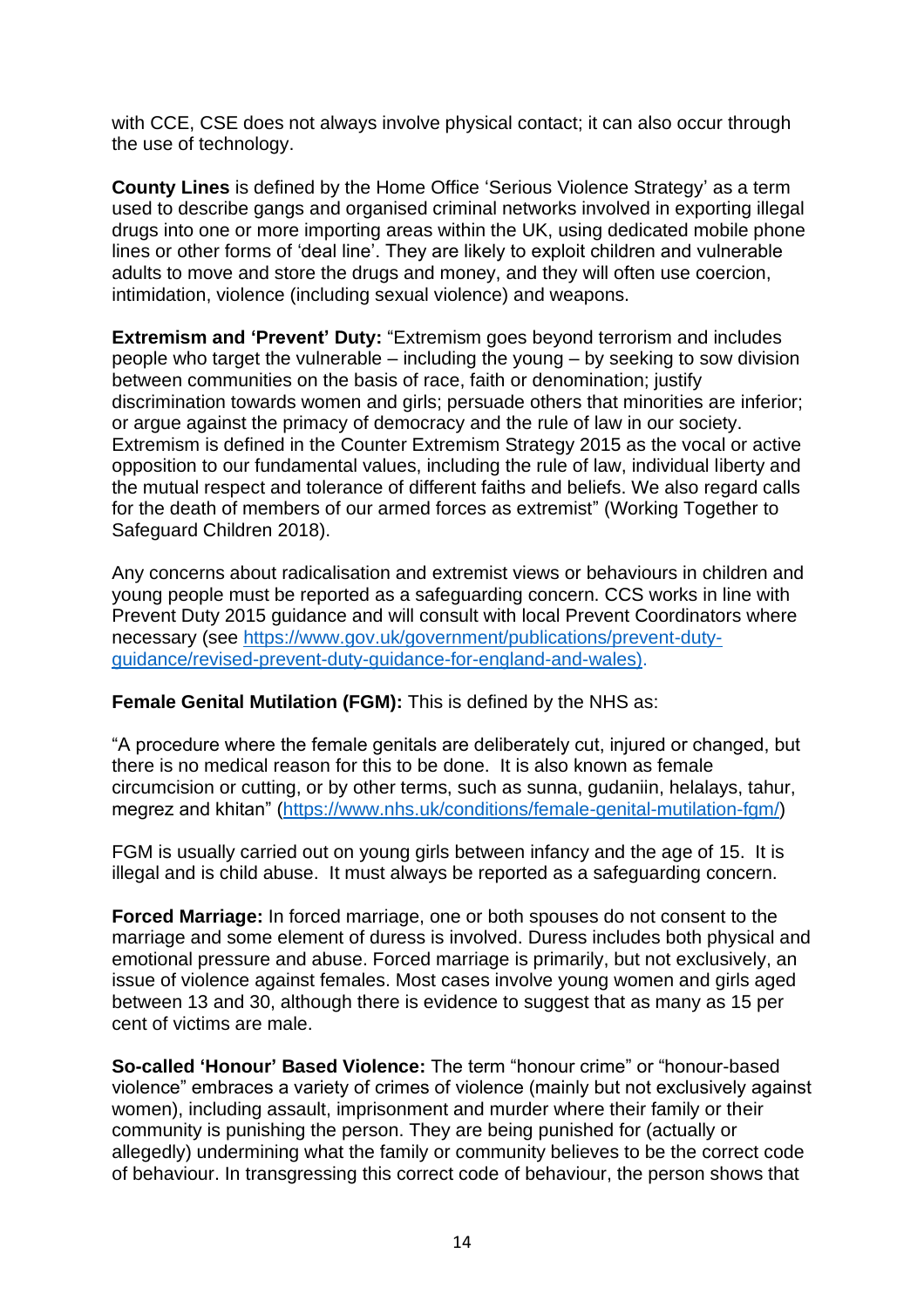with CCE, CSE does not always involve physical contact; it can also occur through the use of technology.

**County Lines** is defined by the Home Office 'Serious Violence Strategy' as a term used to describe gangs and organised criminal networks involved in exporting illegal drugs into one or more importing areas within the UK, using dedicated mobile phone lines or other forms of 'deal line'. They are likely to exploit children and vulnerable adults to move and store the drugs and money, and they will often use coercion, intimidation, violence (including sexual violence) and weapons.

**Extremism and 'Prevent' Duty:** "Extremism goes beyond terrorism and includes people who target the vulnerable – including the young – by seeking to sow division between communities on the basis of race, faith or denomination; justify discrimination towards women and girls; persuade others that minorities are inferior; or argue against the primacy of democracy and the rule of law in our society. Extremism is defined in the Counter Extremism Strategy 2015 as the vocal or active opposition to our fundamental values, including the rule of law, individual liberty and the mutual respect and tolerance of different faiths and beliefs. We also regard calls for the death of members of our armed forces as extremist" (Working Together to Safeguard Children 2018).

Any concerns about radicalisation and extremist views or behaviours in children and young people must be reported as a safeguarding concern. CCS works in line with Prevent Duty 2015 guidance and will consult with local Prevent Coordinators where necessary (see [https://www.gov.uk/government/publications/prevent-duty](https://www.gov.uk/government/publications/prevent-duty-guidance/revised-prevent-duty-guidance-for-england-and-wales)[guidance/revised-prevent-duty-guidance-for-england-and-wales\)](https://www.gov.uk/government/publications/prevent-duty-guidance/revised-prevent-duty-guidance-for-england-and-wales).

#### **Female Genital Mutilation (FGM):** This is defined by the NHS as:

"A procedure where the female genitals are deliberately cut, injured or changed, but there is no medical reason for this to be done. It is also known as female circumcision or cutting, or by other terms, such as sunna, gudaniin, helalays, tahur, megrez and khitan" [\(https://www.nhs.uk/conditions/female-genital-mutilation-fgm/\)](https://www.nhs.uk/conditions/female-genital-mutilation-fgm/)

FGM is usually carried out on young girls between infancy and the age of 15. It is illegal and is child abuse. It must always be reported as a safeguarding concern.

**Forced Marriage:** In forced marriage, one or both spouses do not consent to the marriage and some element of duress is involved. Duress includes both physical and emotional pressure and abuse. Forced marriage is primarily, but not exclusively, an issue of violence against females. Most cases involve young women and girls aged between 13 and 30, although there is evidence to suggest that as many as 15 per cent of victims are male.

**So-called 'Honour' Based Violence:** The term "honour crime" or "honour-based violence" embraces a variety of crimes of violence (mainly but not exclusively against women), including assault, imprisonment and murder where their family or their community is punishing the person. They are being punished for (actually or allegedly) undermining what the family or community believes to be the correct code of behaviour. In transgressing this correct code of behaviour, the person shows that